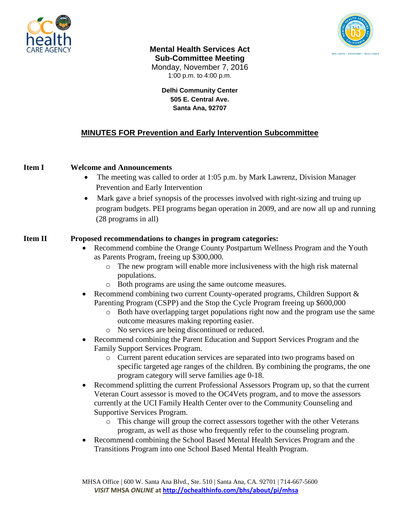



**Mental Health Services Act Sub-Committee Meeting** Monday, November 7, 2016 1:00 p.m. to 4:00 p.m.

> **Delhi Community Center 505 E. Central Ave. Santa Ana, 92707**

# **MINUTES FOR Prevention and Early Intervention Subcommittee**

### **Item I Welcome and Announcements**

- The meeting was called to order at 1:05 p.m. by Mark Lawrenz, Division Manager Prevention and Early Intervention
- Mark gave a brief synopsis of the processes involved with right-sizing and truing up program budgets. PEI programs began operation in 2009, and are now all up and running (28 programs in all)

#### **Item II Proposed recommendations to changes in program categories:**

- Recommend combine the Orange County Postpartum Wellness Program and the Youth as Parents Program, freeing up \$300,000.
	- o The new program will enable more inclusiveness with the high risk maternal populations.
	- o Both programs are using the same outcome measures.
- Recommend combining two current County-operated programs, Children Support & Parenting Program (CSPP) and the Stop the Cycle Program freeing up \$600,000
	- o Both have overlapping target populations right now and the program use the same outcome measures making reporting easier.
	- o No services are being discontinued or reduced.
- Recommend combining the Parent Education and Support Services Program and the Family Support Services Program.
	- o Current parent education services are separated into two programs based on specific targeted age ranges of the children. By combining the programs, the one program category will serve families age 0-18.
- Recommend splitting the current Professional Assessors Program up, so that the current Veteran Court assessor is moved to the OC4Vets program, and to move the assessors currently at the UCI Family Health Center over to the Community Counseling and Supportive Services Program.
	- o This change will group the correct assessors together with the other Veterans program, as well as those who frequently refer to the counseling program.
- Recommend combining the School Based Mental Health Services Program and the Transitions Program into one School Based Mental Health Program.